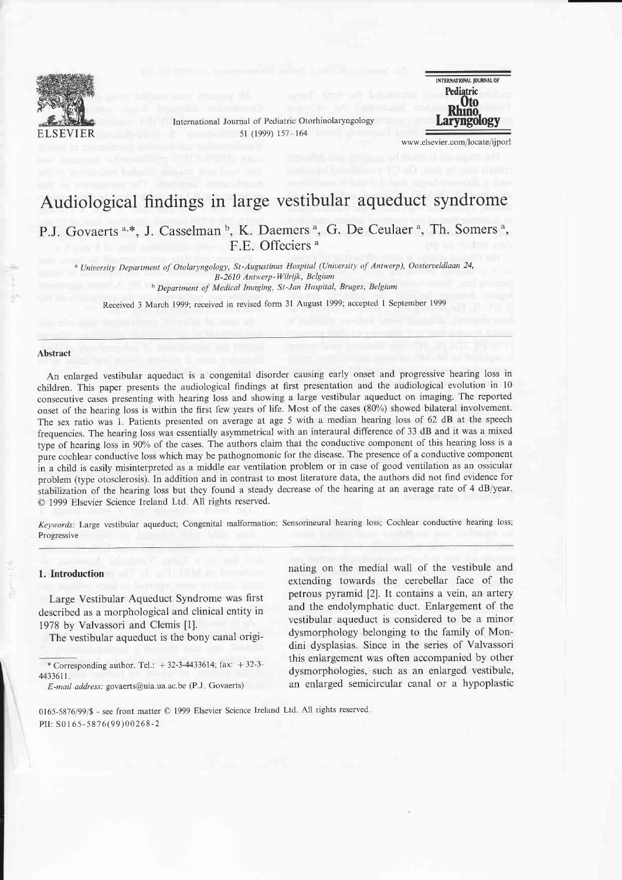

International Journal of Pediatric Otorhinolaryngology 51 (1999) 157-164



www. elsevier.com/locate/ijporl

# Audiological findings in large vestibular aqueduct syndrome P.J. Govaerts<sup>a,\*</sup>, J. Casselman <sup>b</sup>, K. Daemers<sup>a</sup>, G. De Ceulaer<sup>a</sup>, Th. Somers<sup>a</sup>, F.E. Offeciers<sup>a</sup>

<sup>a</sup> University Department of Otolaryngology, St-Augustinus Hospital (University of Antwerp), Oosterveldlaan 24, B-2610 Antwerp-Wilrijk, Belgium b Department of Medical Imaging, St-Jan Hospital, Bruges, Belgium

Received 3 March 1999; received in revised form 31 August 1999; accepted I September 1999

#### Abstract

An enlarged vestibular aqueduct is a congenital disorder causing early onset and progressive hearing loss in children. This paper presents the audiological findings at first presentation and the audiological evolution in 10 consecutive cases presenting with hearing loss and showing a large vestibular aqueduct on imaging. The reported onset of the hearing loss is within the first few years of life. Most of the cases (80%) showed bilateral involvement. The sex ratio was 1. Patients presented on average at age 5 with a median hearing loss of 62 dB at the speech frequencies. The hearing loss was essentially asymmetrical with an interaural difference of 33 dB and it was a mixed type of hearing loss in 90% of the cases. The authors claim that the conductive component of this hearing loss is a pure cochlear conductive loss which may be pathognomonic for the disease. The presence of a conductive component in a child is easily misinterpreted as a middle ear ventilation problem or in case of good ventilation as an ossicular problem (type otosclerosis). In addition and in contrast to most literature data, the authors did not find evidence for stabilization of the hearing loss but they found a steady decrease of the hearing at an average rate of 4 dB/year. O 1999 Elsevier Science Ireland Ltd. All rights reserved.

Keywords: Large vestibular aqueduct; Congenital malformation; Sensorineural hearing loss; Cochlear conductive hearing loss; Progressive

#### 1. Introduction

Large Vestibular Aqueduct Syndrome was first described as a morphological and clinical entity in 1978 by Valvassori and Clemis [1].

The vestibular aqueduct is the bony canal origi-

nating on the medial wall of the vestibule and extending towards the cerebellar face of the petrous pyramid [2]. It contains a vein, an artery and the endolymphatic duct. Enlargement of the vestibular aqueduct is considered to be a minor dysmorphology belonging to the family of Mondini dysplasias. Since in the series of Valvassori this enlargement was often accompanied by other dysmorphologies, such as an enlarged vestibule, an enlarged semicircular canal or a hypoplastic

0165-5876/99/\$ - see front matter © 1999 Elsevier Science Ireland Ltd. All rights reserved. PII: S0165-5876(99)00268-2

x Corresponding author. Tel.: \* 32-3-4433614; fax: +32-3- 4433611.

E-mail address: govaerts@uia.ua.ac.be (P.J Govaerts)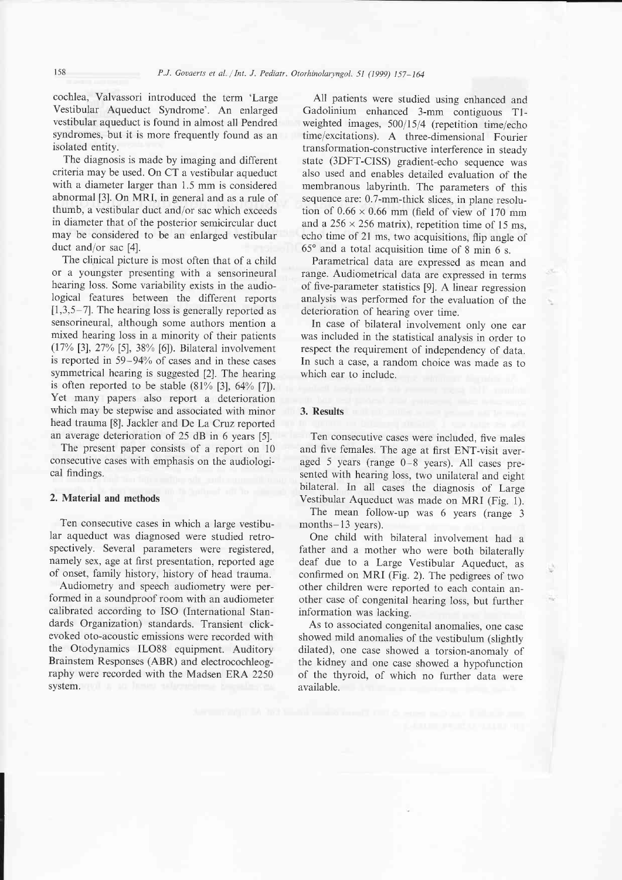cochlea, Valvassori introduced the term 'Large Vestibular Aqueduct Syndrome'. An enlarged vestibular aqueduct is found in almost all Pendred syndromes, but it is more frequently found as an isolated entity.

The diagnosis is made by imaging and different criteria may be used. On CT a vestibular aqueduct with a diameter larger than 1.5 mm is considered abnormal [3]. On MRI, in general and as a rule of thumb, a vestibular duct and/or sac which exceeds in diameter that of the posterior semicircular duct may be considered to be an enlarged vestibular duct and/or sac [4].

The clinical picture is most often that of a child or a youngster presenting with a sensorineural hearing loss. Some variability exists in the audiological features between the different reports  $[1,3,5-7]$ . The hearing loss is generally reported as sensorineural, although some authors mention a mixed hearing loss in a minority of their patients (17% [3], 27% [5], 38% [6]). Bilateral involvement is reported in 59-94% of cases and in these cases symmetrical hearing is suggested [2]. The hearing is often reported to be stable  $(81\%$  [3],  $64\%$  [7]). Yet many papers also report a deterioration which may be stepwise and associated with minor head trauma [8]. Jackler and De La Cruz reported an average deterioration of 25 dB in 6 years [5].

The present paper consists of a report on 10 consecutive cases with emphasis on the audiolosical findings.

# 2. Material and methods

Ten consecutive cases in which a large vestibular aqueduct was diagnosed were studied retrospectively. Several parameters were registered, namely sex, age at first presentation, reported age of onset, family history, history of head trauma.

Audiometry and speech audiometry were performed in a soundproof room with an audiometer calibrated according to ISO (International Standards Organization) standards. Transient clickevoked oto-acoustic emissions were recorded with the Otodynamics ILO88 equipment. Auditory Brainstem Responses (ABR) and electrocochleography were recorded with the Madsen ERA 2250 system.

All patients were studied using enhanced and Gadolinium enhanced 3-mm contiguous Tlweighted images, 500/15/4 (repetition time/echo time/excitations). A three-dimensional Fourier transformation-constructive interference in steady state (3DFT-CISS) gradient-echo sequence was also used and enables detailed evaluation of the membranous labyrinth. The parameters of this sequence are: 0.7-mm-thick slices, in plane resolution of  $0.66 \times 0.66$  mm (field of view of 170 mm and a  $256 \times 256$  matrix), repetition time of 15 ms, echo time of 21 ms, two acquisitions, flip angle of  $65^\circ$  and a total acquisition time of 8 min 6 s.

Parametrical data are expressed as mean and range. Audiometrical data are expressed in terms of five-parameter statistics [9]. A linear regression analysis was performed for the evaluation of the deterioration of hearing over time.

In case of bilateral involvement only one ear was included in the statistical analysis in order to respect the requirement of independency of data. In such a case, a random choice was made as to which ear to include.

## 3. Results

Ten consecutive cases were included, five males and five females. The age at first ENT-visit averaged 5 years (range 0-8 years). All cases presented with hearing loss, two unilateral and eight bilateral. In all cases the diagnosis of Large Vestibular Aqueduct was made on MRI (Fig. 1).

The mean follow-up was 6 years (range 3 months-13 years).

One child with bilateral involvement had a father and a mother who were both bilaterally deaf due to a Large Vestibular Aqueduct, as confirmed on MRI (Fig. 2). The pedigrees of two other children were reported to each contain another case of congenital hearing loss, but further information was lacking.

As to associated congenital anomalies, one case showed mild anomalies of the vestibulum (slightly dilated), one case showed a torsion-anomaly of the kidney and one case showed a hypofunction of the thyroid, of which no further data were available.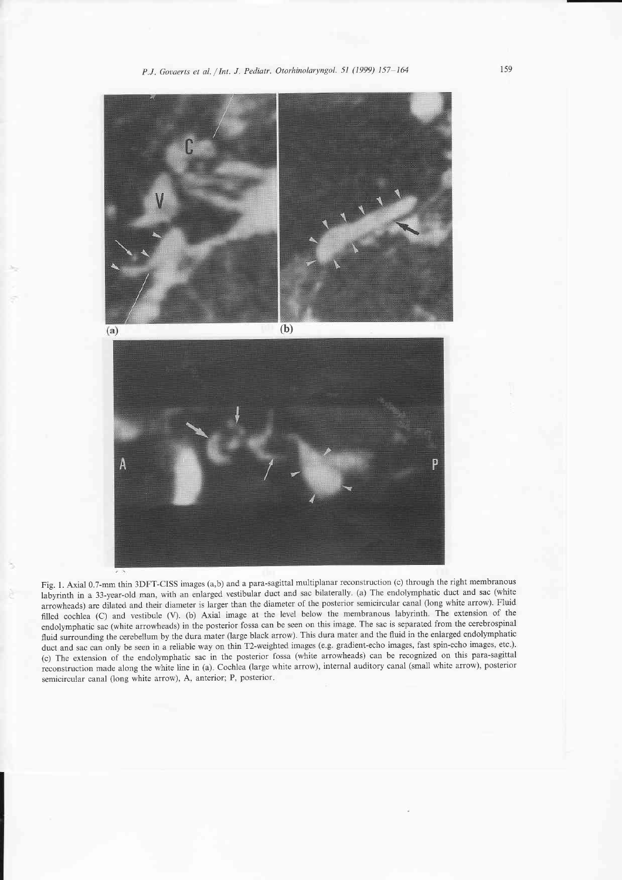



Fig. 1. Axial 0.7-mm thin 3DFT-CISS images (a,b) and a para-sagittal multiplanar reconstruction (c) through the right membranous labyrinth in a 33-year-old man, with an enlarged vestibular duct and sac bilaterally. (a) The endolymphatic duct and sac (white arrowheads) are dilated and their diameter is larger than the diameter of the posterior semicircular canal (long white arrow). Fluid filled cochlea (C) and vestibule (V). (b) Axial image at the level below the membranous labyrinth. The extension of the endolymphatic sac (white arrowheads) in the posterior fossa can be seen on this image The sac is separated from the cerebrospinal fluid surrounding the cerebellum by the dura mater (large black arrow). This dura mater and the fluid in the enlarged endolymphatic duct and sac can only be seen in a reliable way on thin T2-weighted images (e.g. gradient-echo images, fast spin-echo images, etc.). (c) The extension of the endol).mphatic sac in the posterior fossa (white arrowheads) can be recognized on this para-sagittal reconstruction made along the white line in (a). Cochlea (large white arrow), internal auditory canal (small white arrow), posterior semicircular canal (long white arrow), A, anterior; P, posterior.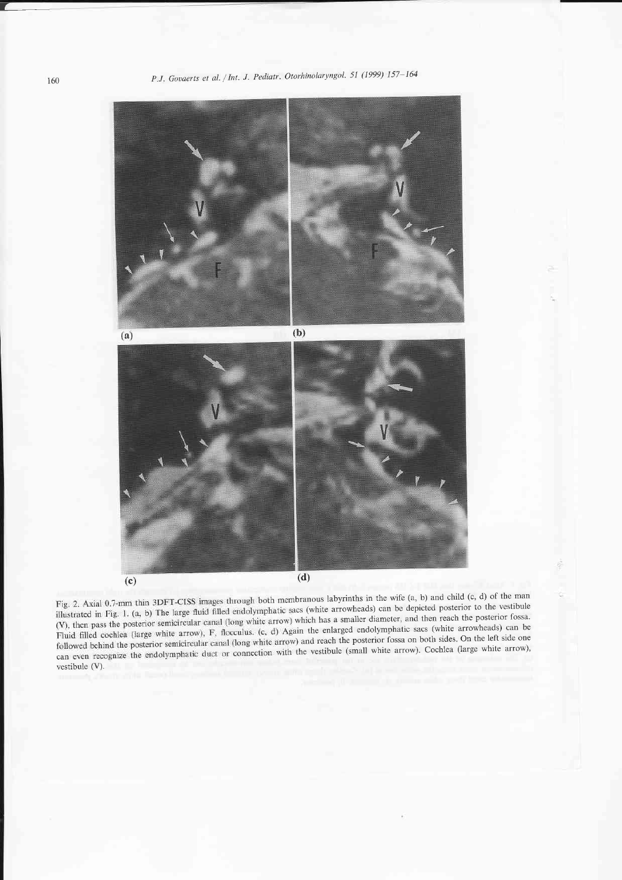

Fig. 2. Axial 0.7-mm thin 3DFT-CISS images through both membranous labyrinths in the wife (a, b) and child (c, d) of the man illustrated in Fig. 1. (a, b) The large fluid filled endolymphatic sacs (white arrowheads) can be depicted posterior to the vestibule (V), then pass the posterior semicircular canal (long white arrow) which has a smaller diameter, and then reach the posterior fossa. Fluid filled cochlea (large white arrow), F, flocculus. (c, d) Again the enlarged endolymphatic sacs (white arrowheads) can be followed behind the posterior semicircular canal (long white arrow) and reach the posterior fossa on both sides. On the left side one can even recognize the endolymphatic duct or connection with the vestibule (small white arrow). Cochlea (large white arrow), vestibule (V).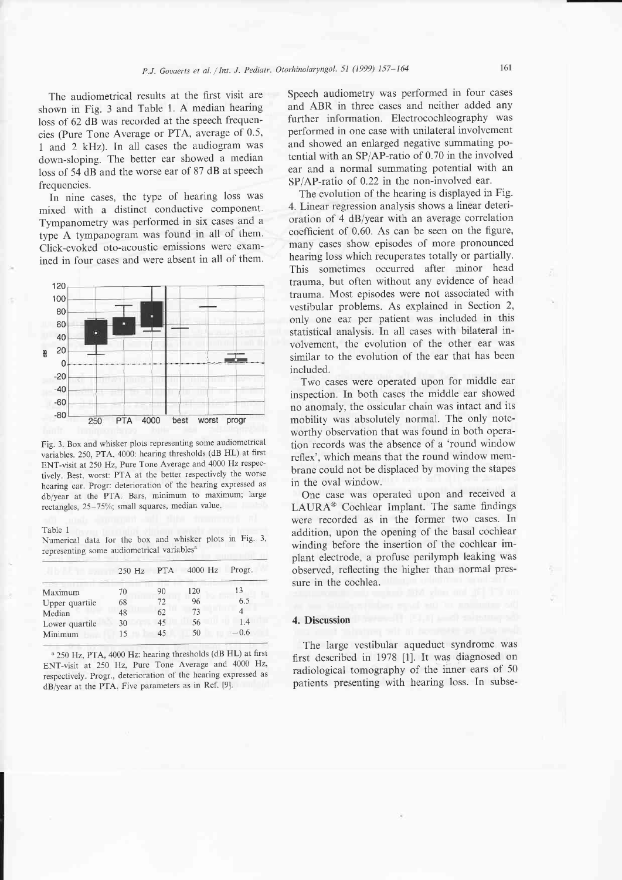The audiometrical results at the first visit are shown in Fig. 3 and Table 1. A median hearing loss of 62 dB was recorded at the speech frequencies (Pure Tone Average or PTA, average of 0.5, I and 2 kHz). In all cases the audiogram was down-sloping. The better ear showed a median loss of 54 dB and the worse ear of 87 dB at speech frequencies.

In nine cases, the type of hearing loss was mixed with a distinct conductive component. Tympanometry was perforrned in six cases and a type A tympanogram was found in all of them. Click-evoked oto-acoustic emissions were examined in four cases and were absent in all of them.



Fig. 3. Box and whisker plots representing some audiometrical variables. 250, PTA, 4000: hearing thresholds (dB HL) at first ENT-visit at250 Hz, Pure Tone Average and 4000 Hz respectively Best, worst: PTA at the better respectively the worse hearing ear. Progr: deterioration of the hearing expressed as db/year at the PTA. Bars, minimum to maximum; large rectangles,  $25-75%$ ; small squares, median value.

#### Table I

Numerical data for the box and whisker plots in Fig. 3, representing some audiometrical variables"

|                | 250 Hz | <b>PTA</b> | 4000 Hz | Progr. |  |
|----------------|--------|------------|---------|--------|--|
| Maximum        | 70     | 90         | 120     | 13     |  |
| Upper quartile | 68     | 72         | 96      | 6.5    |  |
| Median         | 48     | 62         | 73      |        |  |
| Lower quartile | 30     | 45         | 56      | 1.4    |  |
| Minimum        | 15     | 45         | 50      | $-0.6$ |  |

<sup>a</sup> 250 Hz, PTA, 4000 Hz: hearing thresholds (dB HL) at first ENT-visit at 250 Hz, Pure Tone Average and 4000 Hz, respectively. Progr., deterioration of the hearing expressed as dB/year at the PTA. Five parameters as in Ref. [9].

Speech audiometry was performed in four cases and ABR in three cases and neither added any further information. Electrocochleography was performed in one case with unilateral involvement and showed an enlarged negative summating potential with an SP/AP-ratio of 0.70 in the involved ear and a norrnal summating potential with an SP/AP-ratio of 0.22 in the non-involved ear.

The evolution of the hearing is displayed in Fig. 4. Linear regression analysis shows a linear deterioration of 4 dB/year with an average correlation coefficient of 0.60. As can be seen on the figure, many cases show episodes of more pronounced hearing loss which recuperates totally or partially. This sometimes occurred after minor head trauma, but often without any evidence of head Írauma. Most episodes were not associated with vestibular problems. As explained in Section 2, only one ear per patient was included in this statistical analysis. In all cases with bilateral involvement, the evolution of the other ear was similar to the evolution of the ear that has been included.

Two cases were operated upon for middle ear inspection. In both cases the middle ear showed no anomaly, the ossicular chain was intact and its mobility was absolutely normal. The only noteworthy observation that was found in both operation records was the absence of a 'round window reflex', which means that the round window membrane could not be displaced by moving the stapes in the oval window.

One case was operated upon and received a LAURA<sup>®</sup> Cochlear Implant. The same findings were recorded as in the former two cases. In addition, upon the opening of the basal cochlear winding before the insertion of the cochlear implant electrode, a profuse perilymph leaking was observed, reflecting the higher than normal pressure in the cochlea.

## 4. Discussion

The large vestibular aqueduct syndrome was first described in 1978 [1]. It was diagnosed on radiological tomography of the inner ears of 50 patients presenting with hearing loss. In subse-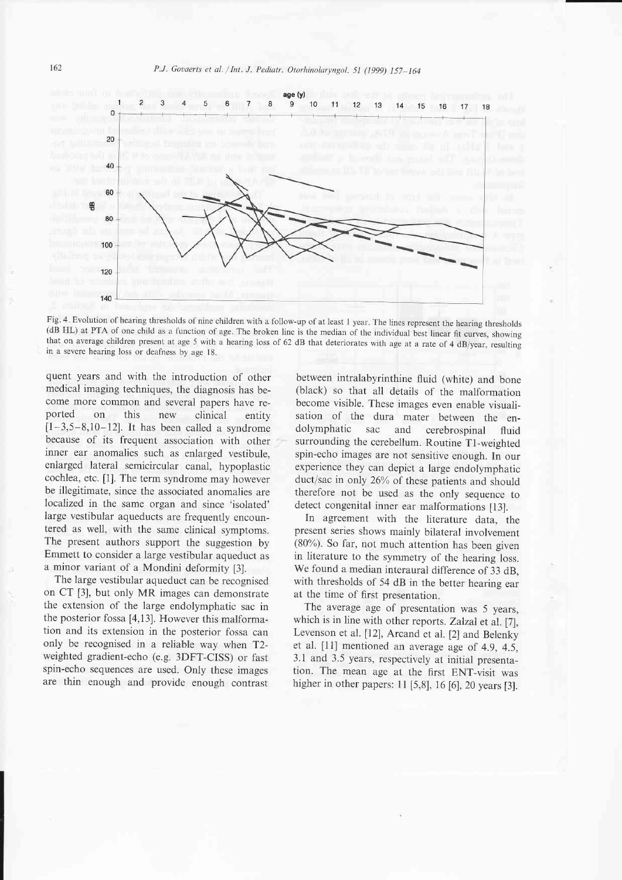

Fig. 4. Evolution of hearing thresholds of nine children with a follow-up of at least 1 year. The lines represent the hearing thresholds (dB HL) at PTA of one child as a function of age. The broken line is the median of the individual best linear fit curves, showing that on average children present at age 5 with a hearing loss of 62 dB that deteriorates with age at a rate of 4 dB/year, resulting in a severe hearing loss or deafness by age 18.

quent years and with the introduction of other medical imaging techniques, the diagnosis has become more common and several papers have reported on this new clinical entity  $[1-3,5-8,10-12]$ . It has been called a syndrome because of its frequent association with other inner ear anomalies such as enlarged vestibule, enlarged lateral semicircular canal, hypoplastic cochlea, etc. [1]. The term syndrome may however be illegitimate, since the associated anomalies are localized in the same organ and since 'isolated' large vestibular aqueducts are frequently encountered as well, with the same clinical symptoms. The present authors support the suggestion by Emmett to consider alarge vestibular aqueduct as a minor variant of a Mondini deformity [3].

The large vestibular aqueduct can be recognised on CT [3], but only MR images can demonstrate the extension of the large endolymphatic sac in the posterior fossa [4,13]. However this malformation and its extension in the posterior fossa can only be recognised in a reliable way when T2 weighted gradient-echo (e.g. 3DFT-CISS) or fast spin-echo sequences are used. Only these images are thin enough and provide enough contrast

between intralabyrinthine fluid (white) and bone (black) so that all details of the malformation become visible. These images even enable visualisation of the dura mater between the endolymphatic sac and cerebrospinal fluid surrounding the cerebellum. Routine Tl-weighted spin-echo images are not sensitive enough. In our experience they can depict a large endolymphatic duct/sac in only 26% of these patients and should therefore not be used as the only sequence to detect congenital inner ear malformations [13].

In agreement with the literature data, the present series shows mainly bilateral involvement (80%). So far, not much attention has been given in literature to the symmetry of the hearing loss. We found a median interaural difference of 33 dB, with thresholds of  $54$  dB in the better hearing ear at the time of first presentation.

The average age of presentation was 5 years, which is in line with other reports. Zalzal et al. [7], Levenson et al. [12], Arcand et al. [2] and Belenky et al.  $[11]$  mentioned an average age of 4.9, 4.5, 3.1 and 3.5 years, respectively at initial presentation. The mean age at the first ENT-visit was higher in other papers: 11 [5,8], 16 [6], 20 years [3].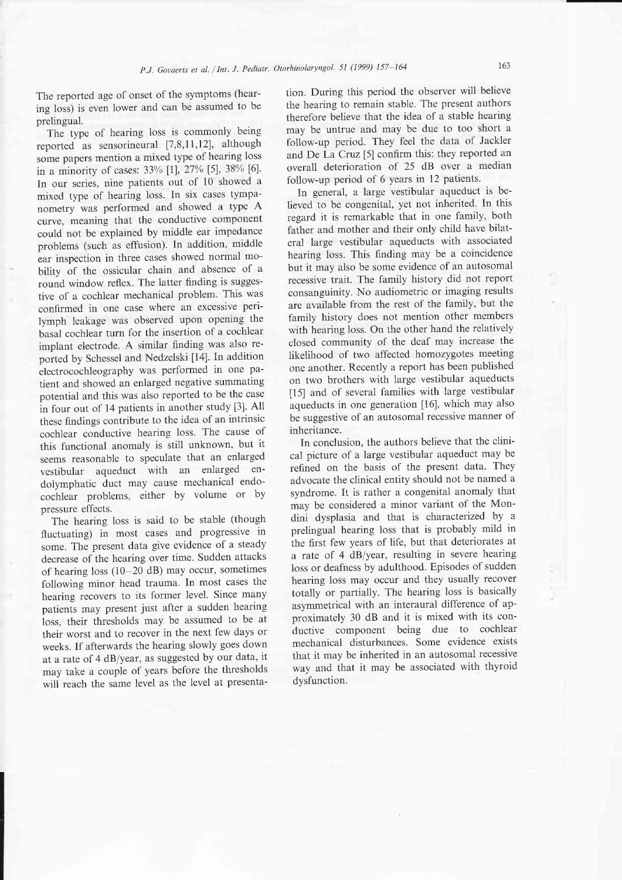The reported age of onset of the symptoms (hearing loss) is even lower and can be assumed to be prelingual.

The type of hearing loss is commonly being reported as sensorineural  $[7,8,11,12]$ , although some papers mention a mixed type of hearing loss in a minority of cases:  $33\%$  [1],  $27\%$  [5],  $38\%$  [6]. In our series, nine patients out of 10 showed a mixed type of hearing loss. In six cases tympanometry was performed and showed a type A curve, meaning that the conductive component could not be explained by middle ear impedance problems (such as effusion). In addition, middle ear inspection in three cases showed normal mobility of the ossicular chain and absence of a round window reflex. The latter finding is suggestive of a cochlear mechanical problem. This was confirmed in one case where an excessive perilymph leakage was observed upon opening the basal cochlear turn for the insertion of a cochlear implant electrode. A similar finding was also reported by Schessel and Nedzelski [14]. In addition electrocochleography was performed in one patient and showed an enlarged negative summating potential and this was also reported to be the case in four out of 14 patients in another study [3]. All these findings contribute to the idea of an intrinsic cochlear conductive hearing loss. The cause of this functional anomaly is still unknown, but it seems reasonable to speculate that an enlarged vestibular aqueduct with an enlarged endolymphatic duct may cause mechanical endocochlear problems, either by volume or by pressure effects.

The hearing loss is said to be stable (though fluctuating) in most cases and progressive in some. The present data give evidence of a steady decrease of the hearing over time. Sudden attacks of hearing loss (10-20 dB) may occur, sometimes following minor head trauma. In most cases the hearing recovers to its former level. Since many patients may present just after a sudden hearing loss, their thresholds may be assumed to be at their worst and to recover in the next few days or weeks. If afterwards the hearing slowly goes down at a rate of 4 dB/year, as suggested by our data, it may take a couple of years before the thresholds will reach the same level as the level at presentation. During this period the observer will believe the hearing to remain stable. The present authors therefore believe that the idea of a stable hearing may be untrue and may be due to too short a follow-up period. They feel the data of Jackler and De La Cruz [5] conflrm this: they reported an overall deterioration of 25 dB over a median follow-up period of 6 years in 12 patients.

In general, a large vestibular aqueduct is believed to be congenital, yet not inherited. In this regard it is remarkable that in one family, both father and mother and their only child have bilateral large vestibular aqueducts with associated hearing loss. This finding may be a coincidence but it may also be some evidence of an autosomal recessive trait. The family history did not report consanguinity. No audiometric or imaging results are available from the rest of the family, but the family history does not mention other members with hearing loss. On the other hand the relatively closed community of the deaf may increase the likelihood of two affected homozygotes meeting one another. Recently a report has been published on two brothers with large vestibular aqueducts [15] and of several families with large vestibular aqueducts in one generation [16], which may also be suggestive of an autosomal recessive manner of inheritance.

In conclusion, the authors believe that the clinical picture of a large vestibular aqueduct may be refined on the basis of the present data. They advocate the clinical entity should not be named a syndrome. It is rather a congenital anomaly that may be considered a minor variant of the Mondini dysplasia and that is characterized by a prelingual hearing loss that is probably mild in the first few years of life, but that deteriorates at a rate of 4 dB/year, resulting in severe hearing loss or deafness by adulthood. Episodes of sudden hearing loss may occur and they usually recover totally or partially. The hearing loss is basically asymmetrical with an interaural difference of approximately 30 dB and it is mixed with its conductive component being due to cochlear mechanical disturbances. Some evidence exists that it may be inherited in an autosomal recessive way and that it may be associated with thyroid dysfunction.